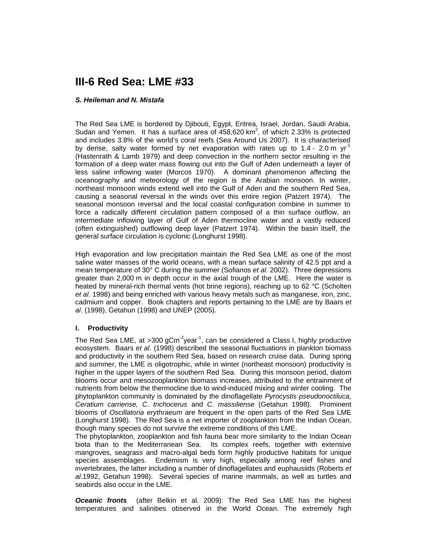# **III-6 Red Sea: LME #33**

#### *S. Heileman and N. Mistafa*

The Red Sea LME is bordered by Djibouti, Egypt, Eritrea, Israel, Jordan, Saudi Arabia, Sudan and Yemen. It has a surface area of  $\overline{458,620}$  km<sup>2</sup>, of which 2.33% is protected and includes 3.8% of the world's coral reefs (Sea Around Us 2007). It is characterised by dense, salty water formed by net evaporation with rates up to  $1.4$  - 2.0 m yr<sup>-1</sup> (Hastenrath & Lamb 1979) and deep convection in the northern sector resulting in the formation of a deep water mass flowing out into the Gulf of Aden underneath a layer of less saline inflowing water (Morcos 1970). A dominant phenomenon affecting the oceanography and meteorology of the region is the Arabian monsoon. In winter, northeast monsoon winds extend well into the Gulf of Aden and the southern Red Sea, causing a seasonal reversal in the winds over this entire region (Patzert 1974). The seasonal monsoon reversal and the local coastal configuration combine in summer to force a radically different circulation pattern composed of a thin surface outflow, an intermediate inflowing layer of Gulf of Aden thermocline water and a vastly reduced (often extinguished) outflowing deep layer (Patzert 1974). Within the basin itself, the general surface circulation is cyclonic (Longhurst 1998).

High evaporation and low precipitation maintain the Red Sea LME as one of the most saline water masses of the world oceans, with a mean surface salinity of 42.5 ppt and a mean temperature of 30° C during the summer (Sofianos *et al*. 2002). Three depressions greater than 2,000 m in depth occur in the axial trough of the LME. Here the water is heated by mineral-rich thermal vents (hot brine regions), reaching up to 62 °C (Scholten *et al*. 1998) and being enriched with various heavy metals such as manganese, iron, zinc, cadmium and copper. Book chapters and reports pertaining to the LME are by Baars *et al*. (1998), Getahun (1998) and UNEP (2005).

#### **I. Productivity**

The Red Sea LME, at >300 gCm<sup>-2</sup>year<sup>-1</sup>, can be considered a Class I, highly productive ecosystem. Baars *et al*. (1998) described the seasonal fluctuations in plankton biomass and productivity in the southern Red Sea, based on research cruise data. During spring and summer, the LME is oligotrophic, while in winter (northeast monsoon) productivity is higher in the upper layers of the southern Red Sea. During this monsoon period, diatom blooms occur and mesozooplankton biomass increases, attributed to the entrainment of nutrients from below the thermocline due to wind-induced mixing and winter cooling. The phytoplankton community is dominated by the dinoflagellate *Pyrocystis pseudonoctiluca, Ceratium carriense, C*. *trichocerus* and *C*. *massiliense* (Getahun 1998). Prominent blooms of *Oscillatoria erythraeum* are frequent in the open parts of the Red Sea LME (Longhurst 1998). The Red Sea is a net importer of zooplankton from the Indian Ocean, though many species do not survive the extreme conditions of this LME.

The phytoplankton, zooplankton and fish fauna bear more similarity to the Indian Ocean biota than to the Mediterranean Sea. Its complex reefs, together with extensive mangroves, seagrass and macro-algal beds form highly productive habitats for unique species assemblages. Endemism is very high, especially among reef fishes and invertebrates, the latter including a number of dinoflagellates and euphausiids (Roberts *et al*.1992, Getahun 1998). Several species of marine mammals, as well as turtles and seabirds also occur in the LME.

*Oceanic fronts* (after Belkin et al. 2009): The Red Sea LME has the highest temperatures and salinities observed in the World Ocean. The extremely high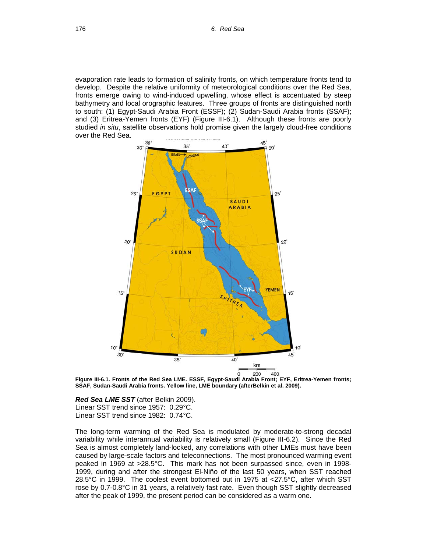evaporation rate leads to formation of salinity fronts, on which temperature fronts tend to develop. Despite the relative uniformity of meteorological conditions over the Red Sea, fronts emerge owing to wind-induced upwelling, whose effect is accentuated by steep bathymetry and local orographic features. Three groups of fronts are distinguished north to south: (1) Egypt-Saudi Arabia Front (ESSF); (2) Sudan-Saudi Arabia fronts (SSAF); and (3) Eritrea-Yemen fronts (EYF) (Figure III-6.1). Although these fronts are poorly studied *in situ*, satellite observations hold promise given the largely cloud-free conditions over the Red Sea.



**Figure III-6.1. Fronts of the Red Sea LME. ESSF, Egypt-Saudi Arabia Front; EYF, Eritrea-Yemen fronts; SSAF, Sudan-Saudi Arabia fronts. Yellow line, LME boundary (afterBelkin et al. 2009).** 

*Red Sea LME SST* (after Belkin 2009). Linear SST trend since 1957: 0.29°C. Linear SST trend since 1982: 0.74°C.

The long-term warming of the Red Sea is modulated by moderate-to-strong decadal variability while interannual variability is relatively small (Figure III-6.2). Since the Red Sea is almost completely land-locked, any correlations with other LMEs must have been caused by large-scale factors and teleconnections. The most pronounced warming event peaked in 1969 at >28.5°C. This mark has not been surpassed since, even in 1998- 1999, during and after the strongest El-Niño of the last 50 years, when SST reached 28.5°C in 1999. The coolest event bottomed out in 1975 at <27.5°C, after which SST rose by 0.7-0.8°C in 31 years, a relatively fast rate. Even though SST slightly decreased after the peak of 1999, the present period can be considered as a warm one.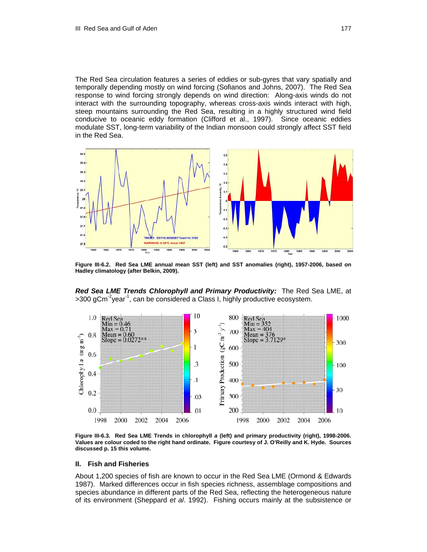The Red Sea circulation features a series of eddies or sub-gyres that vary spatially and temporally depending mostly on wind forcing (Sofianos and Johns, 2007). The Red Sea response to wind forcing strongly depends on wind direction: Along-axis winds do not interact with the surrounding topography, whereas cross-axis winds interact with high, steep mountains surrounding the Red Sea, resulting in a highly structured wind field conducive to oceanic eddy formation (Clifford et al., 1997). Since oceanic eddies modulate SST, long-term variability of the Indian monsoon could strongly affect SST field in the Red Sea.



**Figure III-6.2. Red Sea LME annual mean SST (left) and SST anomalies (right), 1957-2006, based on Hadley climatology (after Belkin, 2009).** 

*Red Sea LME Trends Chlorophyll and Primary Productivity:* The Red Sea LME, at  $>$ 300 gCm<sup>-2</sup>year<sup>-1</sup>, can be considered a Class I, highly productive ecosystem.



**Figure III-6.3. Red Sea LME Trends in chlorophyll** *a* **(left) and primary productivity (right), 1998-2006. Values are colour coded to the right hand ordinate. Figure courtesy of J. O'Reilly and K. Hyde. Sources discussed p. 15 this volume.**

#### **II. Fish and Fisheries**

About 1,200 species of fish are known to occur in the Red Sea LME (Ormond & Edwards 1987). Marked differences occur in fish species richness, assemblage compositions and species abundance in different parts of the Red Sea, reflecting the heterogeneous nature of its environment (Sheppard *et al*. 1992). Fishing occurs mainly at the subsistence or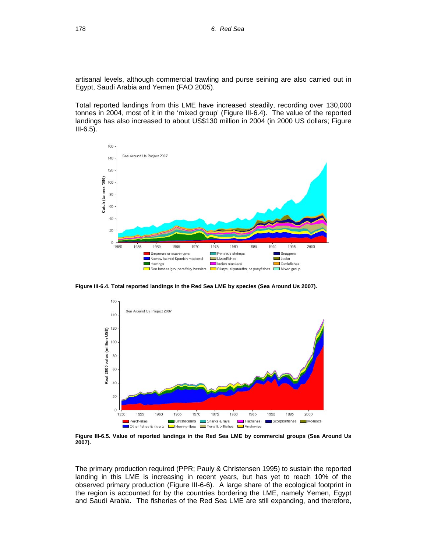artisanal levels, although commercial trawling and purse seining are also carried out in Egypt, Saudi Arabia and Yemen (FAO 2005).

Total reported landings from this LME have increased steadily, recording over 130,000 tonnes in 2004, most of it in the 'mixed group' (Figure III-6.4). The value of the reported landings has also increased to about US\$130 million in 2004 (in 2000 US dollars; Figure III-6.5).



**Figure III-6.4. Total reported landings in the Red Sea LME by species (Sea Around Us 2007).** 



**Figure III-6.5. Value of reported landings in the Red Sea LME by commercial groups (Sea Around Us 2007).** 

The primary production required (PPR; Pauly & Christensen 1995) to sustain the reported landing in this LME is increasing in recent years, but has yet to reach 10% of the observed primary production (Figure III-6-6). A large share of the ecological footprint in the region is accounted for by the countries bordering the LME, namely Yemen, Egypt and Saudi Arabia. The fisheries of the Red Sea LME are still expanding, and therefore,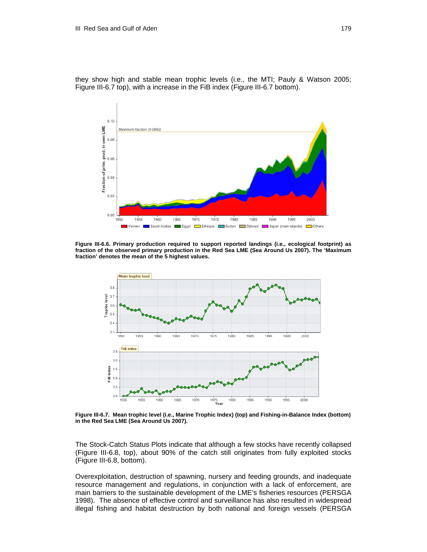they show high and stable mean trophic levels (i.e., the MTI; Pauly & Watson 2005; Figure III-6.7 top), with a increase in the FiB index (Figure III-6.7 bottom).



**Figure III-6.6. Primary production required to support reported landings (i.e., ecological footprint) as fraction of the observed primary production in the Red Sea LME (Sea Around Us 2007). The 'Maximum fraction' denotes the mean of the 5 highest values.** 



**Figure III-6.7. Mean trophic level (i.e., Marine Trophic Index) (top) and Fishing-in-Balance Index (bottom) in the Red Sea LME (Sea Around Us 2007).** 

The Stock-Catch Status Plots indicate that although a few stocks have recently collapsed (Figure III-6.8, top), about 90% of the catch still originates from fully exploited stocks (Figure III-6.8, bottom).

Overexploitation, destruction of spawning, nursery and feeding grounds, and inadequate resource management and regulations, in conjunction with a lack of enforcement, are main barriers to the sustainable development of the LME's fisheries resources (PERSGA 1998). The absence of effective control and surveillance has also resulted in widespread illegal fishing and habitat destruction by both national and foreign vessels (PERSGA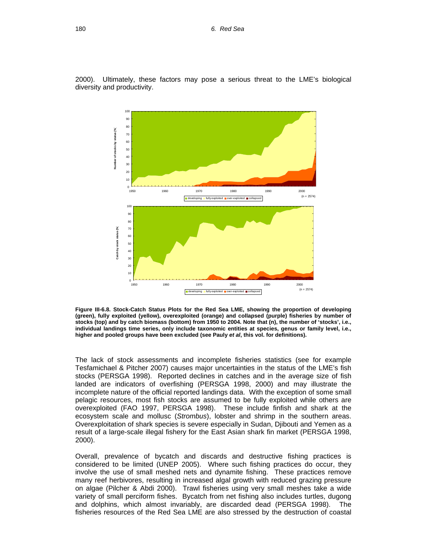2000). Ultimately, these factors may pose a serious threat to the LME's biological diversity and productivity.



**Figure III-6.8. Stock-Catch Status Plots for the Red Sea LME, showing the proportion of developing (green), fully exploited (yellow), overexploited (orange) and collapsed (purple) fisheries by number of stocks (top) and by catch biomass (bottom) from 1950 to 2004. Note that (n), the number of 'stocks', i.e., individual landings time series, only include taxonomic entities at species, genus or family level, i.e., higher and pooled groups have been excluded (see Pauly** *et al***, this vol. for definitions).** 

The lack of stock assessments and incomplete fisheries statistics (see for example Tesfamichael & Pitcher 2007) causes major uncertainties in the status of the LME's fish stocks (PERSGA 1998). Reported declines in catches and in the average size of fish landed are indicators of overfishing (PERSGA 1998, 2000) and may illustrate the incomplete nature of the official reported landings data. With the exception of some small pelagic resources, most fish stocks are assumed to be fully exploited while others are overexploited (FAO 1997, PERSGA 1998). These include finfish and shark at the ecosystem scale and mollusc (*Strombus*), lobster and shrimp in the southern areas. Overexploitation of shark species is severe especially in Sudan, Djibouti and Yemen as a result of a large-scale illegal fishery for the East Asian shark fin market (PERSGA 1998, 2000).

Overall, prevalence of bycatch and discards and destructive fishing practices is considered to be limited (UNEP 2005). Where such fishing practices do occur, they involve the use of small meshed nets and dynamite fishing. These practices remove many reef herbivores, resulting in increased algal growth with reduced grazing pressure on algae (Pilcher & Abdi 2000). Trawl fisheries using very small meshes take a wide variety of small perciform fishes. Bycatch from net fishing also includes turtles, dugong and dolphins, which almost invariably, are discarded dead (PERSGA 1998). The fisheries resources of the Red Sea LME are also stressed by the destruction of coastal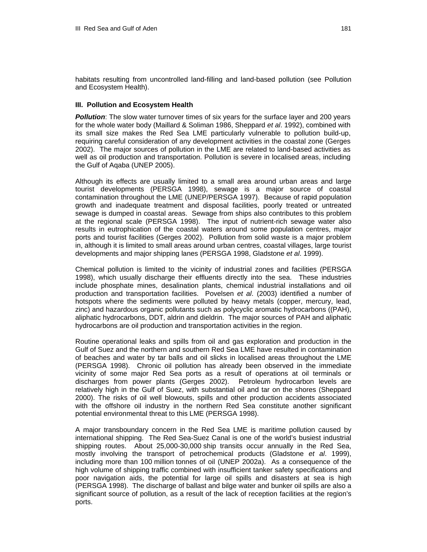habitats resulting from uncontrolled land-filling and land-based pollution (see Pollution and Ecosystem Health).

### **III. Pollution and Ecosystem Health**

**Pollution**: The slow water turnover times of six years for the surface layer and 200 years for the whole water body (Maillard & Soliman 1986, Sheppard *et al*. 1992), combined with its small size makes the Red Sea LME particularly vulnerable to pollution build-up, requiring careful consideration of any development activities in the coastal zone (Gerges 2002). The major sources of pollution in the LME are related to land-based activities as well as oil production and transportation. Pollution is severe in localised areas, including the Gulf of Aqaba (UNEP 2005).

Although its effects are usually limited to a small area around urban areas and large tourist developments (PERSGA 1998), sewage is a major source of coastal contamination throughout the LME (UNEP/PERSGA 1997). Because of rapid population growth and inadequate treatment and disposal facilities, poorly treated or untreated sewage is dumped in coastal areas. Sewage from ships also contributes to this problem at the regional scale (PERSGA 1998). The input of nutrient-rich sewage water also results in eutrophication of the coastal waters around some population centres, major ports and tourist facilities (Gerges 2002). Pollution from solid waste is a major problem in, although it is limited to small areas around urban centres, coastal villages, large tourist developments and major shipping lanes (PERSGA 1998, Gladstone *et al*. 1999).

Chemical pollution is limited to the vicinity of industrial zones and facilities (PERSGA 1998), which usually discharge their effluents directly into the sea. These industries include phosphate mines, desalination plants, chemical industrial installations and oil production and transportation facilities. Povelsen *et al*. (2003) identified a number of hotspots where the sediments were polluted by heavy metals (copper, mercury, lead, zinc) and hazardous organic pollutants such as polycyclic aromatic hydrocarbons ((PAH), aliphatic hydrocarbons, DDT, aldrin and dieldrin. The major sources of PAH and aliphatic hydrocarbons are oil production and transportation activities in the region.

Routine operational leaks and spills from oil and gas exploration and production in the Gulf of Suez and the northern and southern Red Sea LME have resulted in contamination of beaches and water by tar balls and oil slicks in localised areas throughout the LME (PERSGA 1998). Chronic oil pollution has already been observed in the immediate vicinity of some major Red Sea ports as a result of operations at oil terminals or discharges from power plants (Gerges 2002). Petroleum hydrocarbon levels are relatively high in the Gulf of Suez, with substantial oil and tar on the shores (Sheppard 2000). The risks of oil well blowouts, spills and other production accidents associated with the offshore oil industry in the northern Red Sea constitute another significant potential environmental threat to this LME (PERSGA 1998).

A major transboundary concern in the Red Sea LME is maritime pollution caused by international shipping. The Red Sea-Suez Canal is one of the world's busiest industrial shipping routes. About 25,000-30,000 ship transits occur annually in the Red Sea, mostly involving the transport of petrochemical products (Gladstone *et al*. 1999), including more than 100 million tonnes of oil (UNEP 2002a). As a consequence of the high volume of shipping traffic combined with insufficient tanker safety specifications and poor navigation aids, the potential for large oil spills and disasters at sea is high (PERSGA 1998). The discharge of ballast and bilge water and bunker oil spills are also a significant source of pollution, as a result of the lack of reception facilities at the region's ports.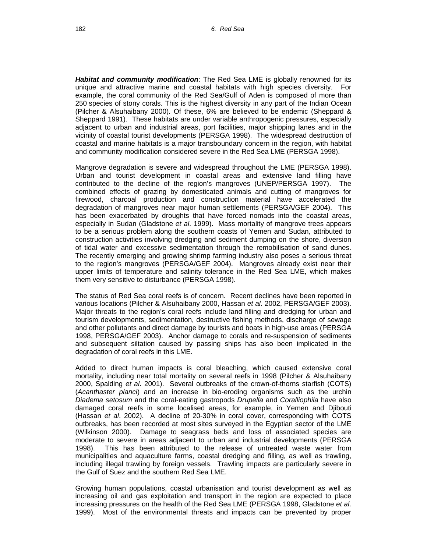*Habitat and community modification*: The Red Sea LME is globally renowned for its unique and attractive marine and coastal habitats with high species diversity. For example, the coral community of the Red Sea/Gulf of Aden is composed of more than 250 species of stony corals. This is the highest diversity in any part of the Indian Ocean (Pilcher & Alsuhaibany 2000). Of these, 6% are believed to be endemic (Sheppard & Sheppard 1991). These habitats are under variable anthropogenic pressures, especially adjacent to urban and industrial areas, port facilities, major shipping lanes and in the vicinity of coastal tourist developments (PERSGA 1998). The widespread destruction of coastal and marine habitats is a major transboundary concern in the region, with habitat and community modification considered severe in the Red Sea LME (PERSGA 1998).

Mangrove degradation is severe and widespread throughout the LME (PERSGA 1998). Urban and tourist development in coastal areas and extensive land filling have contributed to the decline of the region's mangroves (UNEP/PERSGA 1997). The combined effects of grazing by domesticated animals and cutting of mangroves for firewood, charcoal production and construction material have accelerated the degradation of mangroves near major human settlements (PERSGA/GEF 2004). This has been exacerbated by droughts that have forced nomads into the coastal areas, especially in Sudan (Gladstone *et al*. 1999). Mass mortality of mangrove trees appears to be a serious problem along the southern coasts of Yemen and Sudan, attributed to construction activities involving dredging and sediment dumping on the shore, diversion of tidal water and excessive sedimentation through the remobilisation of sand dunes. The recently emerging and growing shrimp farming industry also poses a serious threat to the region's mangroves (PERSGA/GEF 2004). Mangroves already exist near their upper limits of temperature and salinity tolerance in the Red Sea LME, which makes them very sensitive to disturbance (PERSGA 1998).

The status of Red Sea coral reefs is of concern. Recent declines have been reported in various locations (Pilcher & Alsuhaibany 2000, Hassan *et al*. 2002, PERSGA/GEF 2003). Major threats to the region's coral reefs include land filling and dredging for urban and tourism developments, sedimentation, destructive fishing methods, discharge of sewage and other pollutants and direct damage by tourists and boats in high-use areas (PERSGA 1998, PERSGA/GEF 2003). Anchor damage to corals and re-suspension of sediments and subsequent siltation caused by passing ships has also been implicated in the degradation of coral reefs in this LME.

Added to direct human impacts is coral bleaching, which caused extensive coral mortality, including near total mortality on several reefs in 1998 (Pilcher & Alsuhaibany 2000, Spalding *et al*. 2001). Several outbreaks of the crown-of-thorns starfish (COTS) (*Acanthaster planci*) and an increase in bio-eroding organisms such as the urchin *Diadema setosum* and the coral-eating gastropods *Drupella* and *Coralliophila* have also damaged coral reefs in some localised areas, for example, in Yemen and Djibouti (Hassan *et al*. 2002). A decline of 20-30% in coral cover, corresponding with COTS outbreaks, has been recorded at most sites surveyed in the Egyptian sector of the LME (Wilkinson 2000). Damage to seagrass beds and loss of associated species are moderate to severe in areas adjacent to urban and industrial developments (PERSGA 1998). This has been attributed to the release of untreated waste water from municipalities and aquaculture farms, coastal dredging and filling, as well as trawling, including illegal trawling by foreign vessels. Trawling impacts are particularly severe in the Gulf of Suez and the southern Red Sea LME.

Growing human populations, coastal urbanisation and tourist development as well as increasing oil and gas exploitation and transport in the region are expected to place increasing pressures on the health of the Red Sea LME (PERSGA 1998, Gladstone *et al*. 1999). Most of the environmental threats and impacts can be prevented by proper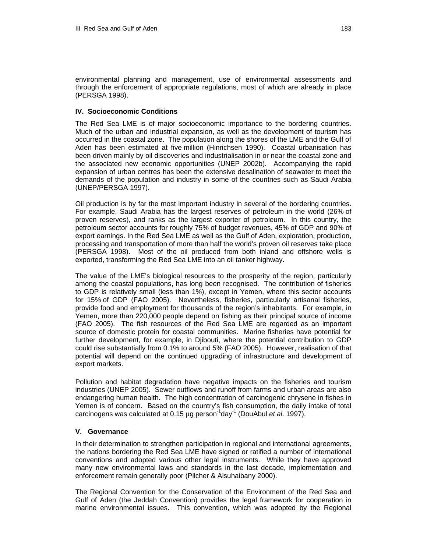environmental planning and management, use of environmental assessments and through the enforcement of appropriate regulations, most of which are already in place (PERSGA 1998).

#### **IV. Socioeconomic Conditions**

The Red Sea LME is of major socioeconomic importance to the bordering countries. Much of the urban and industrial expansion, as well as the development of tourism has occurred in the coastal zone. The population along the shores of the LME and the Gulf of Aden has been estimated at five million (Hinrichsen 1990). Coastal urbanisation has been driven mainly by oil discoveries and industrialisation in or near the coastal zone and the associated new economic opportunities (UNEP 2002b). Accompanying the rapid expansion of urban centres has been the extensive desalination of seawater to meet the demands of the population and industry in some of the countries such as Saudi Arabia (UNEP/PERSGA 1997).

Oil production is by far the most important industry in several of the bordering countries. For example, Saudi Arabia has the largest reserves of petroleum in the world (26% of proven reserves), and ranks as the largest exporter of petroleum. In this country, the petroleum sector accounts for roughly 75% of budget revenues, 45% of GDP and 90% of export earnings. In the Red Sea LME as well as the Gulf of Aden, exploration, production, processing and transportation of more than half the world's proven oil reserves take place (PERSGA 1998). Most of the oil produced from both inland and offshore wells is exported, transforming the Red Sea LME into an oil tanker highway.

The value of the LME's biological resources to the prosperity of the region, particularly among the coastal populations, has long been recognised. The contribution of fisheries to GDP is relatively small (less than 1%), except in Yemen, where this sector accounts for 15% of GDP (FAO 2005). Nevertheless, fisheries, particularly artisanal fisheries, provide food and employment for thousands of the region's inhabitants. For example, in Yemen, more than 220,000 people depend on fishing as their principal source of income (FAO 2005). The fish resources of the Red Sea LME are regarded as an important source of domestic protein for coastal communities. Marine fisheries have potential for further development, for example, in Djibouti, where the potential contribution to GDP could rise substantially from 0.1% to around 5% (FAO 2005). However, realisation of that potential will depend on the continued upgrading of infrastructure and development of export markets.

Pollution and habitat degradation have negative impacts on the fisheries and tourism industries (UNEP 2005). Sewer outflows and runoff from farms and urban areas are also endangering human health. The high concentration of carcinogenic chrysene in fishes in Yemen is of concern. Based on the country's fish consumption, the daily intake of total carcinogens was calculated at 0.15 µg person-1day-1 (DouAbul *et al*. 1997).

#### **V. Governance**

In their determination to strengthen participation in regional and international agreements, the nations bordering the Red Sea LME have signed or ratified a number of international conventions and adopted various other legal instruments. While they have approved many new environmental laws and standards in the last decade, implementation and enforcement remain generally poor (Pilcher & Alsuhaibany 2000).

The Regional Convention for the Conservation of the Environment of the Red Sea and Gulf of Aden (the Jeddah Convention) provides the legal framework for cooperation in marine environmental issues. This convention, which was adopted by the Regional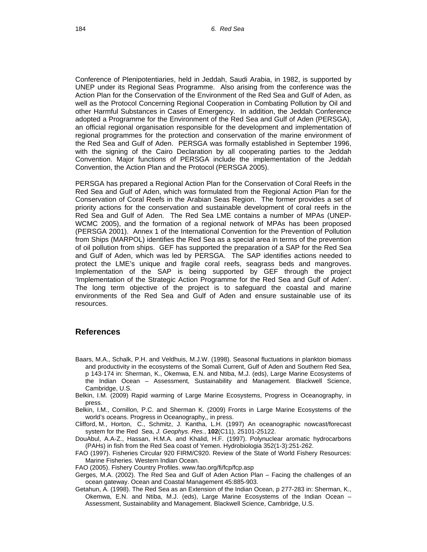Conference of Plenipotentiaries, held in Jeddah, Saudi Arabia, in 1982, is supported by UNEP under its Regional Seas Programme. Also arising from the conference was the Action Plan for the Conservation of the Environment of the Red Sea and Gulf of Aden, as well as the Protocol Concerning Regional Cooperation in Combating Pollution by Oil and other Harmful Substances in Cases of Emergency. In addition, the Jeddah Conference adopted a Programme for the Environment of the Red Sea and Gulf of Aden (PERSGA), an official regional organisation responsible for the development and implementation of regional programmes for the protection and conservation of the marine environment of the Red Sea and Gulf of Aden. PERSGA was formally established in September 1996, with the signing of the Cairo Declaration by all cooperating parties to the Jeddah Convention. Major functions of PERSGA include the implementation of the Jeddah Convention, the Action Plan and the Protocol (PERSGA 2005).

PERSGA has prepared a Regional Action Plan for the Conservation of Coral Reefs in the Red Sea and Gulf of Aden, which was formulated from the Regional Action Plan for the Conservation of Coral Reefs in the Arabian Seas Region. The former provides a set of priority actions for the conservation and sustainable development of coral reefs in the Red Sea and Gulf of Aden. The Red Sea LME contains a number of MPAs (UNEP-WCMC 2005), and the formation of a regional network of MPAs has been proposed (PERSGA 2001). Annex 1 of the International Convention for the Prevention of Pollution from Ships (MARPOL) identifies the Red Sea as a special area in terms of the prevention of oil pollution from ships. GEF has supported the preparation of a SAP for the Red Sea and Gulf of Aden, which was led by PERSGA. The SAP identifies actions needed to protect the LME's unique and fragile coral reefs, seagrass beds and mangroves. Implementation of the SAP is being supported by GEF through the project 'Implementation of the Strategic Action Programme for the Red Sea and Gulf of Aden'. The long term objective of the project is to safeguard the coastal and marine environments of the Red Sea and Gulf of Aden and ensure sustainable use of its resources.

## **References**

- Baars, M.A., Schalk, P.H. and Veldhuis, M.J.W. (1998). Seasonal fluctuations in plankton biomass and productivity in the ecosystems of the Somali Current, Gulf of Aden and Southern Red Sea, p 143-174 in: Sherman, K., Okemwa, E.N. and Ntiba, M.J. (eds), Large Marine Ecosystems of the Indian Ocean – Assessment, Sustainability and Management. Blackwell Science, Cambridge, U.S.
- Belkin, I.M. (2009) Rapid warming of Large Marine Ecosystems, Progress in Oceanography, in press.
- Belkin, I.M., Cornillon, P.C. and Sherman K. (2009) Fronts in Large Marine Ecosystems of the world's oceans. Progress in Oceanography,, in press.
- [Clifford, M](http://adsabs.harvard.edu/cgi-bin/author_form?author=Clifford,+M&fullauthor=Clifford,%20Melody&charset=UTF-8&db_key=PHY)., [Horton,](http://adsabs.harvard.edu/cgi-bin/author_form?author=Horton,+C&fullauthor=Horton,%20Charles&charset=UTF-8&db_key=PHY) C., [Schmitz,](http://adsabs.harvard.edu/cgi-bin/author_form?author=Schmitz,+J&fullauthor=Schmitz,%20Joyce&charset=UTF-8&db_key=PHY) J. [Kantha](http://adsabs.harvard.edu/cgi-bin/author_form?author=Kantha,+L&fullauthor=Kantha,%20Lakshmi%20H.&charset=UTF-8&db_key=PHY), L.H. (1997) An oceanographic nowcast/forecast system for the Red Sea, *J. Geophys. Res.*, **102**(C11), 25101-25122.
- DouAbul, A.A-Z., Hassan, H.M.A. and Khalid, H.F. (1997). Polynuclear aromatic hydrocarbons (PAHs) in fish from the Red Sea coast of Yemen. Hydrobiologia 352(1-3):251-262.
- FAO (1997). Fisheries Circular 920 FIRM/C920. Review of the State of World Fishery Resources: Marine Fisheries. Western Indian Ocean.
- FAO (2005). Fishery Country Profiles. www.fao.org/fi/fcp/fcp.asp
- Gerges, M.A. (2002). The Red Sea and Gulf of Aden Action Plan Facing the challenges of an ocean gateway. Ocean and Coastal Management 45:885-903.
- Getahun, A. (1998). The Red Sea as an Extension of the Indian Ocean, p 277-283 in: Sherman, K., Okemwa, E.N. and Ntiba, M.J. (eds), Large Marine Ecosystems of the Indian Ocean – Assessment, Sustainability and Management. Blackwell Science, Cambridge, U.S.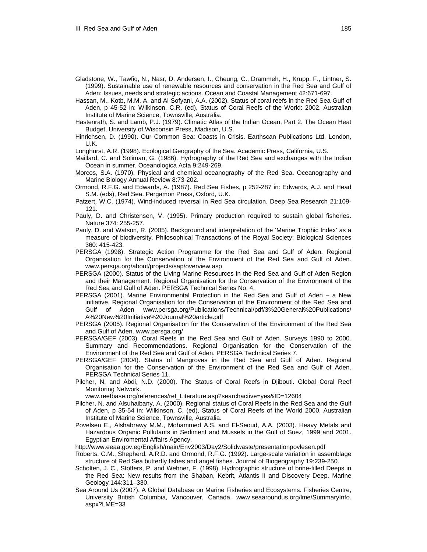- Gladstone, W., Tawfiq, N., Nasr, D. Andersen, I., Cheung, C., Drammeh, H., Krupp, F., Lintner, S. (1999). Sustainable use of renewable resources and conservation in the Red Sea and Gulf of Aden: Issues, needs and strategic actions. Ocean and Coastal Management 42:671-697.
- Hassan, M., Kotb, M.M. A. and Al-Sofyani, A.A. (2002). Status of coral reefs in the Red Sea-Gulf of Aden, p 45-52 in: Wilkinson, C.R. (ed), Status of Coral Reefs of the World: 2002. Australian Institute of Marine Science, Townsville, Australia.
- Hastenrath, S. and Lamb, P.J. (1979). Climatic Atlas of the Indian Ocean, Part 2. The Ocean Heat Budget, University of Wisconsin Press, Madison, U.S.
- Hinrichsen, D. (1990). Our Common Sea: Coasts in Crisis. Earthscan Publications Ltd, London, U.K.
- Longhurst, A.R. (1998). Ecological Geography of the Sea. Academic Press, California, U.S.
- Maillard, C. and Soliman, G. (1986). Hydrography of the Red Sea and exchanges with the Indian Ocean in summer. Oceanologica Acta 9:249-269.
- Morcos, S.A. (1970). Physical and chemical oceanography of the Red Sea. Oceanography and Marine Biology Annual Review 8:73-202.
- Ormond, R.F.G. and Edwards, A. (1987). Red Sea Fishes, p 252-287 in: Edwards, A.J. and Head S.M. (eds), Red Sea. Pergamon Press, Oxford, U.K.
- Patzert, W.C. (1974). Wind-induced reversal in Red Sea circulation. Deep Sea Research 21:109- 121.
- Pauly, D. and Christensen, V. (1995). Primary production required to sustain global fisheries. Nature 374: 255-257.
- Pauly, D. and Watson, R. (2005). Background and interpretation of the 'Marine Trophic Index' as a measure of biodiversity. Philosophical Transactions of the Royal Society: Biological Sciences 360: 415-423.
- PERSGA (1998). Strategic Action Programme for the Red Sea and Gulf of Aden. Regional Organisation for the Conservation of the Environment of the Red Sea and Gulf of Aden. www.persga.org/about/projects/sap/overview.asp
- PERSGA (2000). Status of the Living Marine Resources in the Red Sea and Gulf of Aden Region and their Management. Regional Organisation for the Conservation of the Environment of the Red Sea and Gulf of Aden. PERSGA Technical Series No. 4.
- PERSGA (2001). Marine Environmental Protection in the Red Sea and Gulf of Aden a New initiative. Regional Organisation for the Conservation of the Environment of the Red Sea and Gulf of Aden www.persga.org/Publications/Technical/pdf/3%20General%20Publications/ A%20New%20Initiative%20Journal%20article.pdf
- PERSGA (2005). Regional Organisation for the Conservation of the Environment of the Red Sea and Gulf of Aden. www.persga.org/
- PERSGA/GEF (2003). Coral Reefs in the Red Sea and Gulf of Aden. Surveys 1990 to 2000. Summary and Recommendations. Regional Organisation for the Conservation of the Environment of the Red Sea and Gulf of Aden. PERSGA Technical Series 7.
- PERSGA/GEF (2004). Status of Mangroves in the Red Sea and Gulf of Aden. Regional Organisation for the Conservation of the Environment of the Red Sea and Gulf of Aden. PERSGA Technical Series 11.
- Pilcher, N. and Abdi, N.D. (2000). The Status of Coral Reefs in Djibouti. Global Coral Reef Monitoring Network.

www.reefbase.org/references/ref\_Literature.asp?searchactive=yes&ID=12604

- Pilcher, N. and Alsuhaibany, A. (2000). Regional status of Coral Reefs in the Red Sea and the Gulf of Aden, p 35-54 in: Wilkinson, C. (ed), Status of Coral Reefs of the World 2000. Australian Institute of Marine Science, Townsville, Australia.
- Povelsen E., Alshabrawy M.M., Mohammed A.S. and El-Seoud, A.A. (2003). Heavy Metals and Hazardous Organic Pollutants in Sediment and Mussels in the Gulf of Suez, 1999 and 2001. Egyptian Enviromental Affairs Agency.

http://www.eeaa.gov.eg/English/main/Env2003/Day2/Solidwaste/presentationpovlesen.pdf

- Roberts, C.M., Shepherd, A.R.D. and Ormond, R.F.G. (1992). Large-scale variation in assemblage structure of Red Sea butterfly fishes and angel fishes. Journal of Biogeography 19:239-250.
- Scholten, J. C., Stoffers, P. and Wehner, F. (1998). Hydrographic structure of brine-filled Deeps in the Red Sea: New results from the Shaban, Kebrit, Atlantis II and Discovery Deep. Marine Geology 144:311–330.
- Sea Around Us (2007). A Global Database on Marine Fisheries and Ecosystems. Fisheries Centre, University British Columbia, Vancouver, Canada. www.seaaroundus.org/lme/SummaryInfo. aspx?LME=33